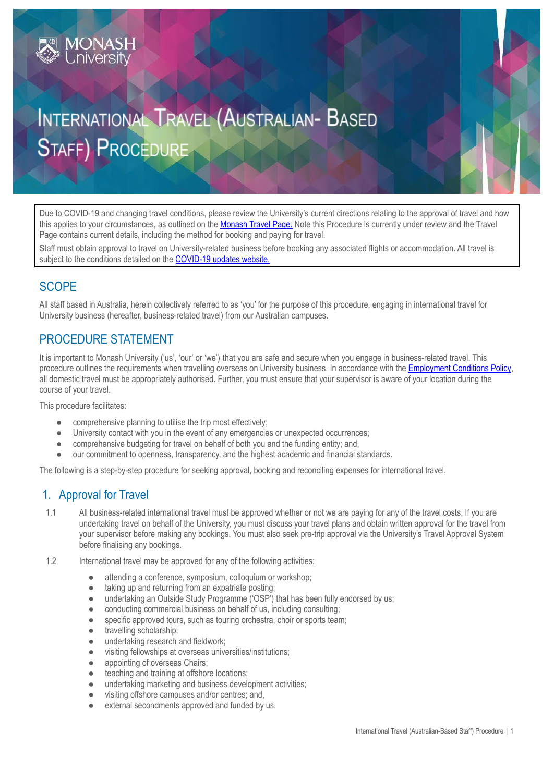# INTERNATIONAL TRAVEL (AUSTRALIAN- BASED **STAFF) PROCEDURE**

Due to COVID-19 and changing travel conditions, please review the University's current directions relating to the approval of travel and how this applies to your circumstances, as outlined on the [Monash](https://www.intranet.monash/finance/our-services/monash-travel-page) Travel Page. Note this Procedure is currently under review and the Travel Page contains current details, including the method for booking and paying for travel.

Staff must obtain approval to travel on University-related business before booking any associated flights or accommodation. All travel is subject to the conditions detailed on the [COVID-19](https://www.monash.edu/news/coronavirus-updates) updates website.

## **SCOPE**

All staff based in Australia, herein collectively referred to as 'you' for the purpose of this procedure, engaging in international travel for University business (hereafter, business-related travel) from our Australian campuses.

## PROCEDURE STATEMENT

**MONASH**<br>University

It is important to Monash University ('us', 'our' or 'we') that you are safe and secure when you engage in business-related travel. This procedure outlines the requirements when travelling overseas on University business. In accordance with the [Employment](https://publicpolicydms.monash.edu/Monash/documents/1935678) Conditions Policy, all domestic travel must be appropriately authorised. Further, you must ensure that your supervisor is aware of your location during the course of your travel.

This procedure facilitates:

- comprehensive planning to utilise the trip most effectively;
- University contact with you in the event of any emergencies or unexpected occurrences;
- comprehensive budgeting for travel on behalf of both you and the funding entity; and,
- our commitment to openness, transparency, and the highest academic and financial standards.

The following is a step-by-step procedure for seeking approval, booking and reconciling expenses for international travel.

## 1. Approval for Travel

- 1.1 All business-related international travel must be approved whether or not we are paying for any of the travel costs. If you are undertaking travel on behalf of the University, you must discuss your travel plans and obtain written approval for the travel from your supervisor before making any bookings. You must also seek pre-trip approval via the University's Travel Approval System before finalising any bookings.
- 1.2 International travel may be approved for any of the following activities:
	- attending a conference, symposium, colloquium or workshop;
	- taking up and returning from an expatriate posting;
	- undertaking an Outside Study Programme ('OSP') that has been fully endorsed by us;
	- conducting commercial business on behalf of us, including consulting;
	- specific approved tours, such as touring orchestra, choir or sports team;
	- travelling scholarship;
	- undertaking research and fieldwork;
	- visiting fellowships at overseas universities/institutions;
	- appointing of overseas Chairs:
	- teaching and training at offshore locations;
	- undertaking marketing and business development activities;
	- visiting offshore campuses and/or centres; and,
	- external secondments approved and funded by us.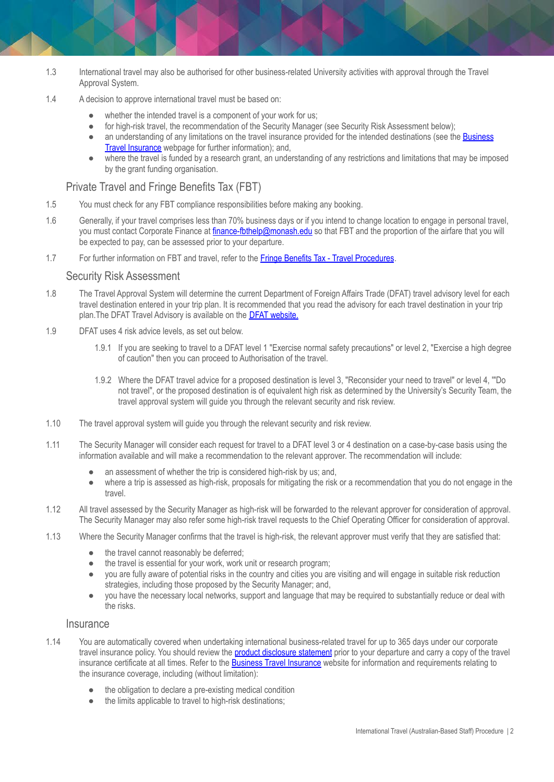- 1.3 International travel may also be authorised for other business-related University activities with approval through the Travel Approval System.
- 1.4 A decision to approve international travel must be based on:
	- whether the intended travel is a component of your work for us;
	- for high-risk travel, the recommendation of the Security Manager (see Security Risk Assessment below);
	- an understanding of any limitations on the travel insurance provided for the intended destinations (see the [Business](https://www.intranet.monash/finance/our-services/insurance/businesstravel) Travel [Insurance](https://www.intranet.monash/finance/our-services/insurance/businesstravel) webpage for further information); and,
	- where the travel is funded by a research grant, an understanding of any restrictions and limitations that may be imposed by the grant funding organisation.

#### Private Travel and Fringe Benefits Tax (FBT)

- 1.5 You must check for any FBT compliance responsibilities before making any booking.
- 1.6 Generally, if your travel comprises less than 70% business days or if you intend to change location to engage in personal travel, you must contact Corporate Finance at [finance-fbthelp@monash.edu](mailto:finance-fbthelp@monash.edu) so that FBT and the proportion of the airfare that you will be expected to pay, can be assessed prior to your departure.
- 1.7 For further information on FBT and travel, refer to the Fringe Benefits Tax Travel [Procedures](https://publicpolicydms.monash.edu/Monash/documents/1909199).

#### Security Risk Assessment

- 1.8 The Travel Approval System will determine the current Department of Foreign Affairs Trade (DFAT) travel advisory level for each travel destination entered in your trip plan. It is recommended that you read the advisory for each travel destination in your trip plan.The DFAT Travel Advisory is available on the DFAT [website.](http://www.smartraveller.gov.au/zw-cgi/view/Advice/)
- 1.9 DFAT uses 4 risk advice levels, as set out below.
	- 1.9.1 If you are seeking to travel to a DFAT level 1 "Exercise normal safety precautions" or level 2, "Exercise a high degree of caution" then you can proceed to Authorisation of the travel.
	- 1.9.2 Where the DFAT travel advice for a proposed destination is level 3, "Reconsider your need to travel" or level 4, '"Do not travel", or the proposed destination is of equivalent high risk as determined by the University's Security Team, the travel approval system will guide you through the relevant security and risk review.
- 1.10 The travel approval system will guide you through the relevant security and risk review.
- 1.11 The Security Manager will consider each request for travel to a DFAT level 3 or 4 destination on a case-by-case basis using the information available and will make a recommendation to the relevant approver. The recommendation will include:
	- an assessment of whether the trip is considered high-risk by us; and,
	- where a trip is assessed as high-risk, proposals for mitigating the risk or a recommendation that you do not engage in the travel.
- 1.12 All travel assessed by the Security Manager as high-risk will be forwarded to the relevant approver for consideration of approval. The Security Manager may also refer some high-risk travel requests to the Chief Operating Officer for consideration of approval.
- 1.13 Where the Security Manager confirms that the travel is high-risk, the relevant approver must verify that they are satisfied that:
	- the travel cannot reasonably be deferred;
	- the travel is essential for your work, work unit or research program;
	- you are fully aware of potential risks in the country and cities you are visiting and will engage in suitable risk reduction strategies, including those proposed by the Security Manager; and,
	- you have the necessary local networks, support and language that may be required to substantially reduce or deal with the risks.

#### **Insurance**

- 1.14 You are automatically covered when undertaking international business-related travel for up to 365 days under our corporate travel insurance policy. You should review the **product [disclosure](https://www.intranet.monash/finance/our-services/insurance/businesstravel/20171101_POL_Staff-Travel-PDS.pdf) statement** prior to your departure and carry a copy of the travel insurance certificate at all times. Refer to the **Business Travel [Insurance](https://www.intranet.monash/finance/our-services/insurance/businesstravel)** website for information and requirements relating to the insurance coverage, including (without limitation):
	- the obligation to declare a pre-existing medical condition
	- the limits applicable to travel to high-risk destinations;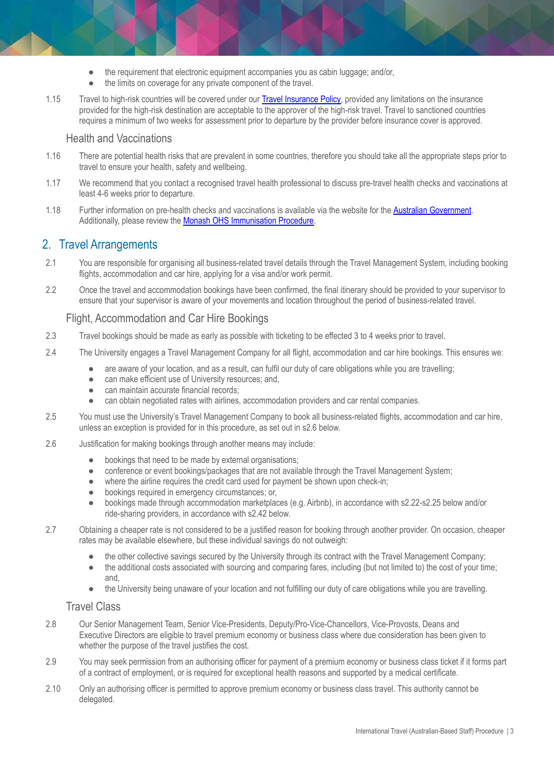- $\bullet$  the requirement that electronic equipment accompanies you as cabin luggage; and/or,
- the limits on coverage for any private component of the travel.
- 1.15 Travel to high-risk countries will be covered under our Travel [Insurance](https://www.intranet.monash/finance/our-services/insurance/businesstravel) Policy, provided any limitations on the insurance provided for the high-risk destination are acceptable to the approver of the high-risk travel. Travel to sanctioned countries requires a minimum of two weeks for assessment prior to departure by the provider before insurance cover is approved.

#### Health and Vaccinations

- 1.16 There are potential health risks that are prevalent in some countries, therefore you should take all the appropriate steps prior to travel to ensure your health, safety and wellbeing.
- 1.17 We recommend that you contact a recognised travel health professional to discuss pre-travel health checks and vaccinations at least 4-6 weeks prior to departure.
- 1.18 Further information on pre-health checks and vaccinations is available via the website for the Australian [Government](http://www.smartraveller.gov.au/tips/travel-smart.html). Additionally, please review the Monash OHS [Immunisation](https://publicpolicydms.monash.edu/Monash/documents/1935616) Procedure.

## 2. Travel Arrangements

- 2.1 You are responsible for organising all business-related travel details through the Travel Management System, including booking flights, accommodation and car hire, applying for a visa and/or work permit.
- 2.2 Once the travel and accommodation bookings have been confirmed, the final itinerary should be provided to your supervisor to ensure that your supervisor is aware of your movements and location throughout the period of business-related travel.

#### Flight, Accommodation and Car Hire Bookings

- 2.3 Travel bookings should be made as early as possible with ticketing to be effected 3 to 4 weeks prior to travel.
- 2.4 The University engages a Travel Management Company for all flight, accommodation and car hire bookings. This ensures we:
	- are aware of your location, and as a result, can fulfil our duty of care obligations while you are travelling;
	- can make efficient use of University resources; and,
	- can maintain accurate financial records;
	- can obtain negotiated rates with airlines, accommodation providers and car rental companies.
- 2.5 You must use the University's Travel Management Company to book all business-related flights, accommodation and car hire, unless an exception is provided for in this procedure, as set out in s2.6 below.
- 2.6 Justification for making bookings through another means may include:
	- bookings that need to be made by external organisations;
	- conference or event bookings/packages that are not available through the Travel Management System;
	- where the airline requires the credit card used for payment be shown upon check-in;
	- bookings required in emergency circumstances; or,
	- bookings made through accommodation marketplaces (e.g. Airbnb), in accordance with s2.22-s2.25 below and/or ride-sharing providers, in accordance with s2.42 below.
- 2.7 Obtaining a cheaper rate is not considered to be a justified reason for booking through another provider. On occasion, cheaper rates may be available elsewhere, but these individual savings do not outweigh:
	- the other collective savings secured by the University through its contract with the Travel Management Company;
	- the additional costs associated with sourcing and comparing fares, including (but not limited to) the cost of your time; and,
	- the University being unaware of your location and not fulfilling our duty of care obligations while you are travelling.

#### Travel Class

- 2.8 Our Senior Management Team, Senior Vice-Presidents, Deputy/Pro-Vice-Chancellors, Vice-Provosts, Deans and Executive Directors are eligible to travel premium economy or business class where due consideration has been given to whether the purpose of the travel justifies the cost.
- 2.9 You may seek permission from an authorising officer for payment of a premium economy or business class ticket if it forms part of a contract of employment, or is required for exceptional health reasons and supported by a medical certificate.
- 2.10 Only an authorising officer is permitted to approve premium economy or business class travel. This authority cannot be delegated.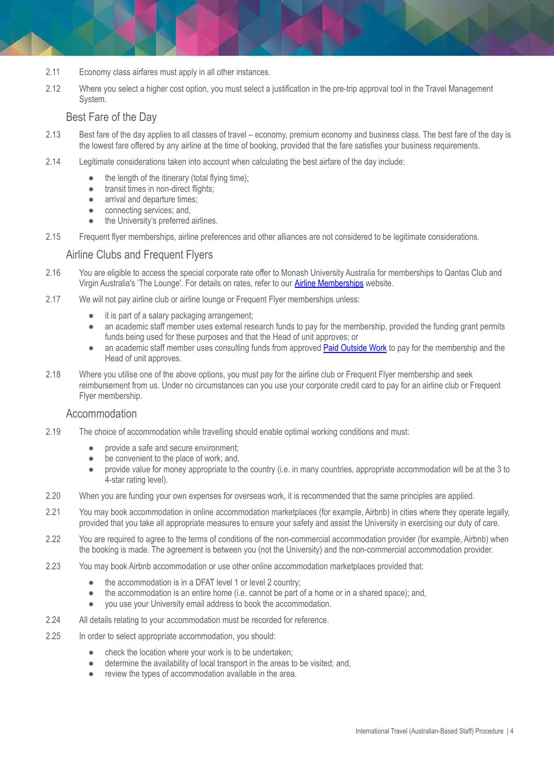- 2.11 Economy class airfares must apply in all other instances.
- 2.12 Where you select a higher cost option, you must select a justification in the pre-trip approval tool in the Travel Management System.

#### Best Fare of the Day

- 2.13 Best fare of the day applies to all classes of travel economy, premium economy and business class. The best fare of the day is the lowest fare offered by any airline at the time of booking, provided that the fare satisfies your business requirements.
- 2.14 Legitimate considerations taken into account when calculating the best airfare of the day include:
	- the length of the itinerary (total flying time);
	- transit times in non-direct flights;
	- arrival and departure times;
	- connecting services; and,
	- the University's preferred airlines.
- 2.15 Frequent flyer memberships, airline preferences and other alliances are not considered to be legitimate considerations.

#### Airline Clubs and Frequent Flyers

- 2.16 You are eligible to access the special corporate rate offer to Monash University Australia for memberships to Qantas Club and Virgin Australia's 'The Lounge'. For details on rates, refer to our Airline [Memberships](https://www.intranet.monash/finance/our-services/monash-travel-page/monash-staff-travel-benefits) website.
- 2.17 We will not pay airline club or airline lounge or Frequent Flyer memberships unless:
	- it is part of a salary packaging arrangement;
	- an academic staff member uses external research funds to pay for the membership, provided the funding grant permits funds being used for these purposes and that the Head of unit approves; or
	- an academic staff member uses consulting funds from approved Paid [Outside](https://publicpolicydms.monash.edu/Monash/documents/1935711) Work to pay for the membership and the Head of unit approves.
- 2.18 Where you utilise one of the above options, you must pay for the airline club or Frequent Flyer membership and seek reimbursement from us. Under no circumstances can you use your corporate credit card to pay for an airline club or Frequent Flyer membership.

#### **Accommodation**

- 2.19 The choice of accommodation while travelling should enable optimal working conditions and must:
	- provide a safe and secure environment;
	- be convenient to the place of work; and,
	- provide value for money appropriate to the country (i.e. in many countries, appropriate accommodation will be at the 3 to 4-star rating level).
- 2.20 When you are funding your own expenses for overseas work, it is recommended that the same principles are applied.
- 2.21 You may book accommodation in online accommodation marketplaces (for example, Airbnb) in cities where they operate legally, provided that you take all appropriate measures to ensure your safety and assist the University in exercising our duty of care.
- 2.22 You are required to agree to the terms of conditions of the non-commercial accommodation provider (for example, Airbnb) when the booking is made. The agreement is between you (not the University) and the non-commercial accommodation provider.
- 2.23 You may book Airbnb accommodation or use other online accommodation marketplaces provided that:
	- the accommodation is in a DFAT level 1 or level 2 country;
	- the accommodation is an entire home (i.e. cannot be part of a home or in a shared space); and,
	- you use your University email address to book the accommodation.
- 2.24 All details relating to your accommodation must be recorded for reference.
- 2.25 In order to select appropriate accommodation, you should:
	- check the location where your work is to be undertaken;
	- determine the availability of local transport in the areas to be visited; and,
	- review the types of accommodation available in the area.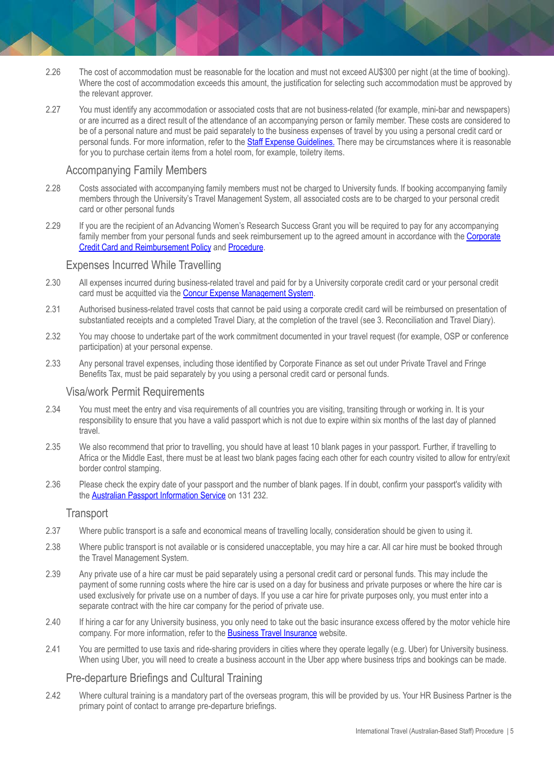- 2.26 The cost of accommodation must be reasonable for the location and must not exceed AU\$300 per night (at the time of booking). Where the cost of accommodation exceeds this amount, the justification for selecting such accommodation must be approved by the relevant approver.
- 2.27 You must identify any accommodation or associated costs that are not business-related (for example, mini-bar and newspapers) or are incurred as a direct result of the attendance of an accompanying person or family member. These costs are considered to be of a personal nature and must be paid separately to the business expenses of travel by you using a personal credit card or personal funds. For more information, refer to the Staff Expense [Guidelines](http://www.intranet.monash/finance/our-services/expense-guidelines). There may be circumstances where it is reasonable for you to purchase certain items from a hotel room, for example, toiletry items.

#### Accompanying Family Members

- 2.28 Costs associated with accompanying family members must not be charged to University funds. If booking accompanying family members through the University's Travel Management System, all associated costs are to be charged to your personal credit card or other personal funds
- 2.29 If you are the recipient of an Advancing Women's Research Success Grant you will be required to pay for any accompanying family member from your personal funds and seek reimbursement up to the agreed amount in accordance with the [Corporate](https://publicpolicydms.monash.edu/Monash/documents/1909191) Credit Card and [Reimbursement](https://publicpolicydms.monash.edu/Monash/documents/1909191) Policy and [Procedure](https://publicpolicydms.monash.edu/Monash/documents/1909192).

#### Expenses Incurred While Travelling

- 2.30 All expenses incurred during business-related travel and paid for by a University corporate credit card or your personal credit card must be acquitted via the Concur Expense [Management](https://www.intranet.monash/finance/our-services/concur) System.
- 2.31 Authorised business-related travel costs that cannot be paid using a corporate credit card will be reimbursed on presentation of substantiated receipts and a completed Travel Diary, at the completion of the travel (see 3. Reconciliation and Travel Diary).
- 2.32 You may choose to undertake part of the work commitment documented in your travel request (for example, OSP or conference participation) at your personal expense.
- 2.33 Any personal travel expenses, including those identified by Corporate Finance as set out under Private Travel and Fringe Benefits Tax, must be paid separately by you using a personal credit card or personal funds.

#### Visa/work Permit Requirements

- 2.34 You must meet the entry and visa requirements of all countries you are visiting, transiting through or working in. It is your responsibility to ensure that you have a valid passport which is not due to expire within six months of the last day of planned travel.
- 2.35 We also recommend that prior to travelling, you should have at least 10 blank pages in your passport. Further, if travelling to Africa or the Middle East, there must be at least two blank pages facing each other for each country visited to allow for entry/exit border control stamping.
- 2.36 Please check the expiry date of your passport and the number of blank pages. If in doubt, confirm your passport's validity with the Australian Passport [Information](https://www.passports.gov.au/contact-us) Service on 131 232.

#### **Transport**

- 2.37 Where public transport is a safe and economical means of travelling locally, consideration should be given to using it.
- 2.38 Where public transport is not available or is considered unacceptable, you may hire a car. All car hire must be booked through the Travel Management System.
- 2.39 Any private use of a hire car must be paid separately using a personal credit card or personal funds. This may include the payment of some running costs where the hire car is used on a day for business and private purposes or where the hire car is used exclusively for private use on a number of days. If you use a car hire for private purposes only, you must enter into a separate contract with the hire car company for the period of private use.
- 2.40 If hiring a car for any University business, you only need to take out the basic insurance excess offered by the motor vehicle hire company. For more information, refer to the **Business Travel [Insurance](http://www.intranet.monash/finance/our-services/insurance/businesstravel)** website.
- 2.41 You are permitted to use taxis and ride-sharing providers in cities where they operate legally (e.g. Uber) for University business. When using Uber, you will need to create a business account in the Uber app where business trips and bookings can be made.

#### Pre-departure Briefings and Cultural Training

2.42 Where cultural training is a mandatory part of the overseas program, this will be provided by us. Your HR Business Partner is the primary point of contact to arrange pre-departure briefings.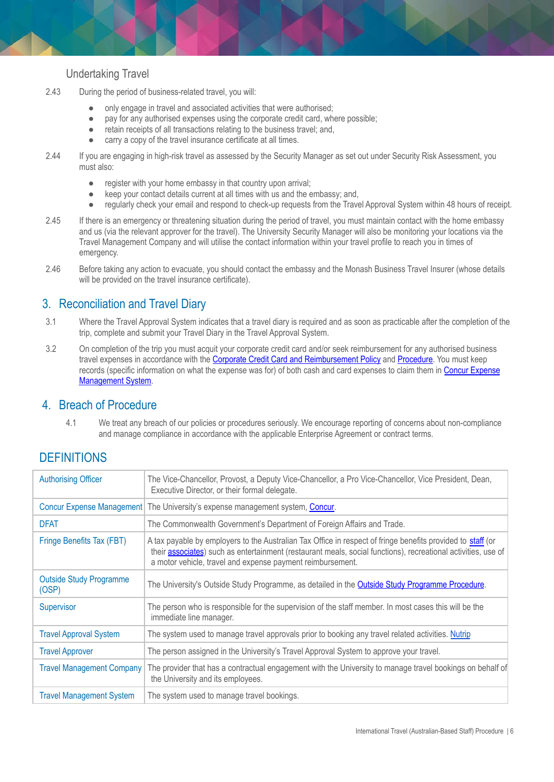#### Undertaking Travel

- 2.43 During the period of business-related travel, you will:
	- only engage in travel and associated activities that were authorised;
	- pay for any authorised expenses using the corporate credit card, where possible;
	- retain receipts of all transactions relating to the business travel; and,
	- carry a copy of the travel insurance certificate at all times.
- 2.44 If you are engaging in high-risk travel as assessed by the Security Manager as set out under Security Risk Assessment, you must also:
	- register with your home embassy in that country upon arrival;
	- keep your contact details current at all times with us and the embassy; and,
	- regularly check your email and respond to check-up requests from the Travel Approval System within 48 hours of receipt.
- 2.45 If there is an emergency or threatening situation during the period of travel, you must maintain contact with the home embassy and us (via the relevant approver for the travel). The University Security Manager will also be monitoring your locations via the Travel Management Company and will utilise the contact information within your travel profile to reach you in times of emergency.
- 2.46 Before taking any action to evacuate, you should contact the embassy and the Monash Business Travel Insurer (whose details will be provided on the travel insurance certificate).

## 3. Reconciliation and Travel Diary

- 3.1 Where the Travel Approval System indicates that a travel diary is required and as soon as practicable after the completion of the trip, complete and submit your Travel Diary in the Travel Approval System.
- 3.2 On completion of the trip you must acquit your corporate credit card and/or seek reimbursement for any authorised business travel expenses in accordance with the Corporate Credit Card and [Reimbursement](https://publicpolicydms.monash.edu/Monash/documents/1909191) Policy and [Procedure.](https://publicpolicydms.monash.edu/Monash/documents/1909192) You must keep records (specific information on what the expense was for) of both cash and card expenses to claim them in Concur [Expense](https://www.intranet.monash/finance/our-services/concur) [Management](https://www.intranet.monash/finance/our-services/concur) System.

### 4. Breach of Procedure

4.1 We treat any breach of our policies or procedures seriously. We encourage reporting of concerns about non-compliance and manage compliance in accordance with the applicable Enterprise Agreement or contract terms.

## **DEFINITIONS**

| <b>Authorising Officer</b>              | The Vice-Chancellor, Provost, a Deputy Vice-Chancellor, a Pro Vice-Chancellor, Vice President, Dean,<br>Executive Director, or their formal delegate.                                                                                                                                              |
|-----------------------------------------|----------------------------------------------------------------------------------------------------------------------------------------------------------------------------------------------------------------------------------------------------------------------------------------------------|
|                                         | Concur Expense Management The University's expense management system, Concur.                                                                                                                                                                                                                      |
| <b>DFAT</b>                             | The Commonwealth Government's Department of Foreign Affairs and Trade.                                                                                                                                                                                                                             |
| Fringe Benefits Tax (FBT)               | A tax payable by employers to the Australian Tax Office in respect of fringe benefits provided to staff (or<br>their <b>associates</b> ) such as entertainment (restaurant meals, social functions), recreational activities, use of<br>a motor vehicle, travel and expense payment reimbursement. |
| <b>Outside Study Programme</b><br>(OSP) | The University's Outside Study Programme, as detailed in the <b>Outside Study Programme Procedure</b> .                                                                                                                                                                                            |
| Supervisor                              | The person who is responsible for the supervision of the staff member. In most cases this will be the<br>immediate line manager.                                                                                                                                                                   |
| <b>Travel Approval System</b>           | The system used to manage travel approvals prior to booking any travel related activities. Nutrip                                                                                                                                                                                                  |
| <b>Travel Approver</b>                  | The person assigned in the University's Travel Approval System to approve your travel.                                                                                                                                                                                                             |
| <b>Travel Management Company</b>        | The provider that has a contractual engagement with the University to manage travel bookings on behalf of<br>the University and its employees.                                                                                                                                                     |
| <b>Travel Management System</b>         | The system used to manage travel bookings.                                                                                                                                                                                                                                                         |